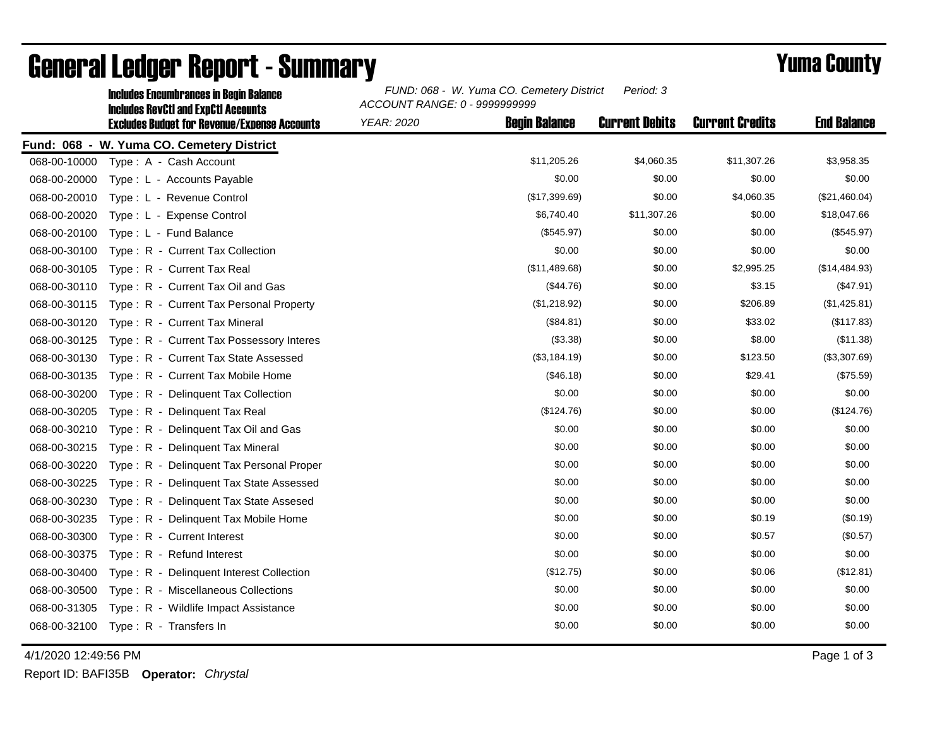|              | <b>Includes Encumbrances in Begin Balance</b><br><b>Includes RevCtI and ExpCtI Accounts</b> | FUND: 068 - W. Yuma CO. Cemetery District<br>Period: 3<br>ACCOUNT RANGE: 0 - 9999999999 |                       |                        |                    |  |
|--------------|---------------------------------------------------------------------------------------------|-----------------------------------------------------------------------------------------|-----------------------|------------------------|--------------------|--|
|              | <b>Excludes Budget for Revenue/Expense Accounts</b>                                         | <b>Begin Balance</b><br><b>YEAR: 2020</b>                                               | <b>Current Debits</b> | <b>Current Credits</b> | <b>End Balance</b> |  |
|              | Fund: 068 - W. Yuma CO. Cemetery District                                                   |                                                                                         |                       |                        |                    |  |
| 068-00-10000 | Type: A - Cash Account                                                                      | \$11,205.26                                                                             | \$4,060.35            | \$11,307.26            | \$3,958.35         |  |
| 068-00-20000 | Type: L - Accounts Payable                                                                  | \$0.00                                                                                  | \$0.00                | \$0.00                 | \$0.00             |  |
| 068-00-20010 | Type: L - Revenue Control                                                                   | (\$17,399.69)                                                                           | \$0.00                | \$4,060.35             | (\$21,460.04)      |  |
| 068-00-20020 | Type: L - Expense Control                                                                   | \$6,740.40                                                                              | \$11,307.26           | \$0.00                 | \$18,047.66        |  |
| 068-00-20100 | Type: L - Fund Balance                                                                      | (\$545.97)                                                                              | \$0.00                | \$0.00                 | (\$545.97)         |  |
| 068-00-30100 | Type: R - Current Tax Collection                                                            | \$0.00                                                                                  | \$0.00                | \$0.00                 | \$0.00             |  |
| 068-00-30105 | Type: R - Current Tax Real                                                                  | (\$11,489.68)                                                                           | \$0.00                | \$2,995.25             | (\$14,484.93)      |  |
| 068-00-30110 | Type: R - Current Tax Oil and Gas                                                           | (\$44.76)                                                                               | \$0.00                | \$3.15                 | (\$47.91)          |  |
| 068-00-30115 | Type: R - Current Tax Personal Property                                                     | (\$1,218.92)                                                                            | \$0.00                | \$206.89               | (\$1,425.81)       |  |
| 068-00-30120 | Type: R - Current Tax Mineral                                                               | (\$84.81)                                                                               | \$0.00                | \$33.02                | (\$117.83)         |  |
| 068-00-30125 | Type: R - Current Tax Possessory Interes                                                    | (\$3.38)                                                                                | \$0.00                | \$8.00                 | (\$11.38)          |  |
| 068-00-30130 | Type: R - Current Tax State Assessed                                                        | (\$3,184.19)                                                                            | \$0.00                | \$123.50               | (\$3,307.69)       |  |
| 068-00-30135 | Type: R - Current Tax Mobile Home                                                           | (\$46.18)                                                                               | \$0.00                | \$29.41                | (\$75.59)          |  |
| 068-00-30200 | Type: R - Delinguent Tax Collection                                                         | \$0.00                                                                                  | \$0.00                | \$0.00                 | \$0.00             |  |
| 068-00-30205 | Type: R - Delinquent Tax Real                                                               | (\$124.76)                                                                              | \$0.00                | \$0.00                 | (\$124.76)         |  |
| 068-00-30210 | Type: R - Delinquent Tax Oil and Gas                                                        | \$0.00                                                                                  | \$0.00                | \$0.00                 | \$0.00             |  |
| 068-00-30215 | Type: R - Delinquent Tax Mineral                                                            | \$0.00                                                                                  | \$0.00                | \$0.00                 | \$0.00             |  |
| 068-00-30220 | Type: R - Delinquent Tax Personal Proper                                                    | \$0.00                                                                                  | \$0.00                | \$0.00                 | \$0.00             |  |
| 068-00-30225 | Type: R - Delinguent Tax State Assessed                                                     | \$0.00                                                                                  | \$0.00                | \$0.00                 | \$0.00             |  |
| 068-00-30230 | Type: R - Delinquent Tax State Assesed                                                      | \$0.00                                                                                  | \$0.00                | \$0.00                 | \$0.00             |  |
| 068-00-30235 | Type: R - Delinguent Tax Mobile Home                                                        | \$0.00                                                                                  | \$0.00                | \$0.19                 | (\$0.19)           |  |
| 068-00-30300 | Type: R - Current Interest                                                                  | \$0.00                                                                                  | \$0.00                | \$0.57                 | (\$0.57)           |  |
| 068-00-30375 | Type: R - Refund Interest                                                                   | \$0.00                                                                                  | \$0.00                | \$0.00                 | \$0.00             |  |
| 068-00-30400 | Type: R - Delinquent Interest Collection                                                    | (\$12.75)                                                                               | \$0.00                | \$0.06                 | (\$12.81)          |  |
| 068-00-30500 | Type: R - Miscellaneous Collections                                                         | \$0.00                                                                                  | \$0.00                | \$0.00                 | \$0.00             |  |
| 068-00-31305 | Type: R - Wildlife Impact Assistance                                                        | \$0.00                                                                                  | \$0.00                | \$0.00                 | \$0.00             |  |
| 068-00-32100 | Type: R - Transfers In                                                                      | \$0.00                                                                                  | \$0.00                | \$0.00                 | \$0.00             |  |

## General Ledger Report - Summary **Example 2018** Yuma County

4/1/2020 12:49:56 PM Page 1 of 3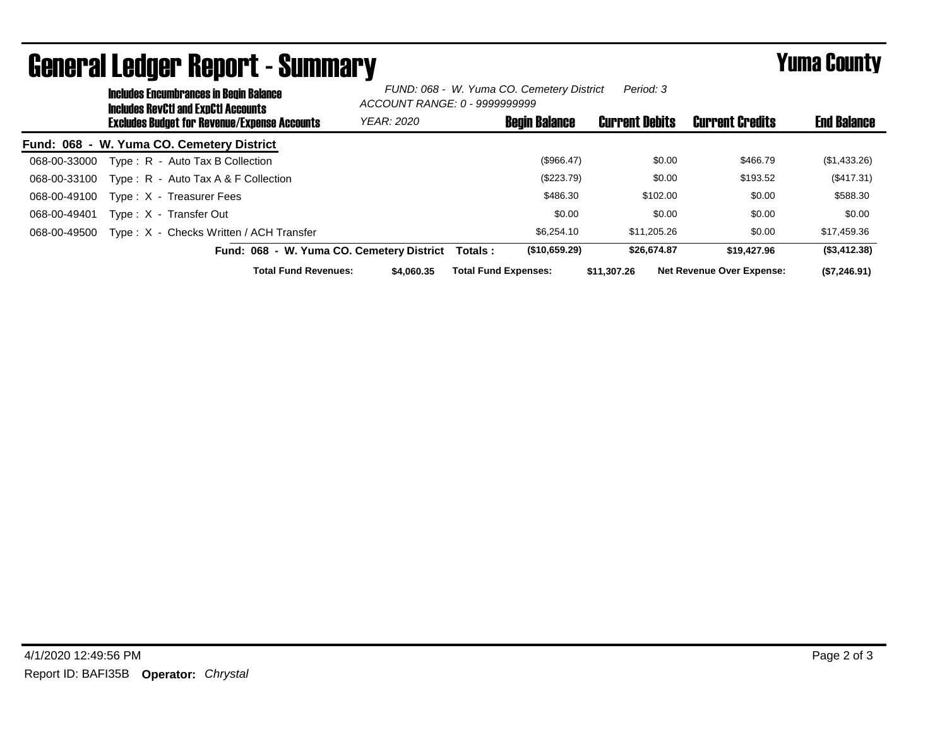|              | <b>Includes Encumbrances in Begin Balance</b><br><b>Includes RevCtI and ExpCtI Accounts</b> |                                           | FUND: 068 - W. Yuma CO. Cemetery District<br>Period: 3<br>ACCOUNT RANGE: 0 - 9999999999 |                             |                      |                       |                                  |                    |
|--------------|---------------------------------------------------------------------------------------------|-------------------------------------------|-----------------------------------------------------------------------------------------|-----------------------------|----------------------|-----------------------|----------------------------------|--------------------|
|              | <b>Excludes Budget for Revenue/Expense Accounts</b>                                         |                                           | <b>YEAR: 2020</b>                                                                       |                             | <b>Begin Balance</b> | <b>Current Debits</b> | <b>Current Credits</b>           | <b>End Balance</b> |
|              | Fund: 068 - W. Yuma CO. Cemetery District                                                   |                                           |                                                                                         |                             |                      |                       |                                  |                    |
| 068-00-33000 | Type: R - Auto Tax B Collection                                                             |                                           |                                                                                         |                             | (\$966.47)           | \$0.00                | \$466.79                         | (\$1,433.26)       |
| 068-00-33100 | Type: R - Auto Tax A & F Collection                                                         |                                           |                                                                                         |                             | (\$223.79)           | \$0.00                | \$193.52                         | (\$417.31)         |
| 068-00-49100 | Type: X - Treasurer Fees                                                                    |                                           |                                                                                         |                             | \$486.30             | \$102.00              | \$0.00                           | \$588.30           |
| 068-00-49401 | Type: X - Transfer Out                                                                      |                                           |                                                                                         |                             | \$0.00               | \$0.00                | \$0.00                           | \$0.00             |
| 068-00-49500 | Type: X - Checks Written / ACH Transfer                                                     |                                           |                                                                                         |                             | \$6,254.10           | \$11,205.26           | \$0.00                           | \$17,459.36        |
|              |                                                                                             | Fund: 068 - W. Yuma CO. Cemetery District |                                                                                         | Totals :                    | (\$10,659.29)        | \$26,674.87           | \$19,427.96                      | (\$3,412.38)       |
|              |                                                                                             | <b>Total Fund Revenues:</b>               | \$4,060.35                                                                              | <b>Total Fund Expenses:</b> |                      | \$11,307,26           | <b>Net Revenue Over Expense:</b> | (\$7,246.91)       |

## General Ledger Report - Summary **Example 2018** Yuma County